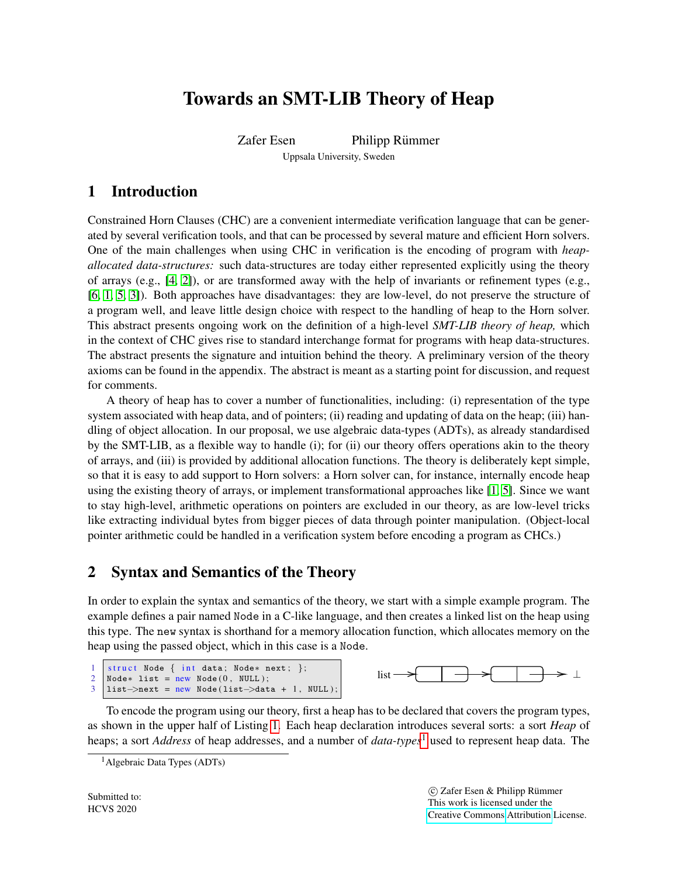# Towards an SMT-LIB Theory of Heap

Zafer Esen Philipp Rümmer

Uppsala University, Sweden

## 1 Introduction

Constrained Horn Clauses (CHC) are a convenient intermediate verification language that can be generated by several verification tools, and that can be processed by several mature and efficient Horn solvers. One of the main challenges when using CHC in verification is the encoding of program with *heapallocated data-structures:* such data-structures are today either represented explicitly using the theory of arrays (e.g.,  $[4, 2]$  $[4, 2]$ ), or are transformed away with the help of invariants or refinement types (e.g., [\[6,](#page-3-2) [1,](#page-3-3) [5,](#page-3-4) [3\]](#page-3-5)). Both approaches have disadvantages: they are low-level, do not preserve the structure of a program well, and leave little design choice with respect to the handling of heap to the Horn solver. This abstract presents ongoing work on the definition of a high-level *SMT-LIB theory of heap,* which in the context of CHC gives rise to standard interchange format for programs with heap data-structures. The abstract presents the signature and intuition behind the theory. A preliminary version of the theory axioms can be found in the appendix. The abstract is meant as a starting point for discussion, and request for comments.

A theory of heap has to cover a number of functionalities, including: (i) representation of the type system associated with heap data, and of pointers; (ii) reading and updating of data on the heap; (iii) handling of object allocation. In our proposal, we use algebraic data-types (ADTs), as already standardised by the SMT-LIB, as a flexible way to handle (i); for (ii) our theory offers operations akin to the theory of arrays, and (iii) is provided by additional allocation functions. The theory is deliberately kept simple, so that it is easy to add support to Horn solvers: a Horn solver can, for instance, internally encode heap using the existing theory of arrays, or implement transformational approaches like [\[1,](#page-3-3) [5\]](#page-3-4). Since we want to stay high-level, arithmetic operations on pointers are excluded in our theory, as are low-level tricks like extracting individual bytes from bigger pieces of data through pointer manipulation. (Object-local pointer arithmetic could be handled in a verification system before encoding a program as CHCs.)

## 2 Syntax and Semantics of the Theory

In order to explain the syntax and semantics of the theory, we start with a simple example program. The example defines a pair named Node in a C-like language, and then creates a linked list on the heap using this type. The new syntax is shorthand for a memory allocation function, which allocates memory on the heap using the passed object, which in this case is a Node.

```
1 struct Node { int data; Node* next; };
2 \mid \text{Node* list} = new Node(0, NULL);3 |list->next = new Node(list->data + 1, NULL);
```


To encode the program using our theory, first a heap has to be declared that covers the program types, as shown in the upper half of Listing [1.](#page-1-0) Each heap declaration introduces several sorts: a sort *Heap* of heaps; a sort *Address* of heap addresses, and a number of *data-types*[1](#page-0-0) used to represent heap data. The

 c Zafer Esen & Philipp Rummer ¨ This work is licensed under the [Creative Commons](http://creativecommons.org) [Attribution](http://creativecommons.org/licenses/by/3.0/) License.

<span id="page-0-0"></span><sup>&</sup>lt;sup>1</sup> Algebraic Data Types (ADTs)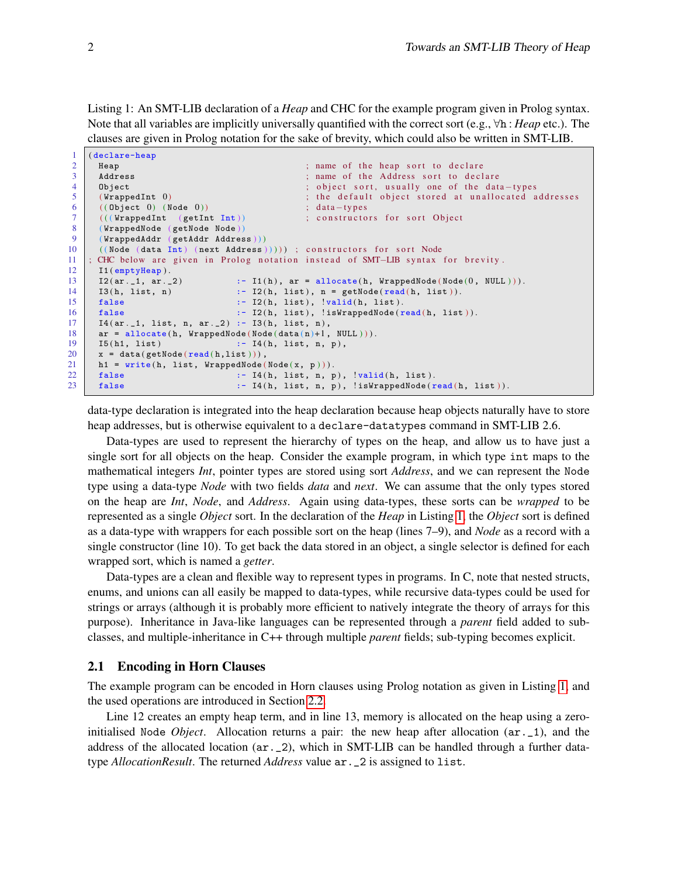<span id="page-1-0"></span>Listing 1: An SMT-LIB declaration of a *Heap* and CHC for the example program given in Prolog syntax. Note that all variables are implicitly universally quantified with the correct sort (e.g., ∀h : *Heap* etc.). The clauses are given in Prolog notation for the sake of brevity, which could also be written in SMT-LIB.

```
1 (declare-heap)
 2 Heap Example 2 Heap soft heap soft to declare the heap soft to declare 3 Address
       Address : \therefore hame of the Address sort to declare
 4 Object ; object sort, usually one of the data-types
 5 (WrappedInt 0) ; the default object stored at unallocated addresses (Object 0) (Node 0)) ; data-types
 6 ( ( Object 0) ( Node 0 )) ; data-types<br>7 ( ( ( VrappedInt ( getInt Int ) ) ; constructor
       \left(\left(\texttt{(WrappedInt }\texttt{Int }\texttt{Int})\right)\right) ; constructors for sort Object
 8 (WrappedNode (getNode Node))
9 (WrappedAddr (getAddr Address)))<br>10 ((Node (data Int) (next Address)
       (( Node (data Int) (next Address )))) ; constructors for sort Node
11 ; CHC below are given in Prolog notation instead of SMT–LIB syntax for brevity.
\begin{array}{c|c} 12 & \text{I1} (\text{emptyHeap}) \\ 13 & \text{I2} (\text{ar.}_1, \text{ar.}_2) \end{array}13 \mid I2(\text{ar.}1, \text{ar.}2) :- I1(h), \text{ar} = \text{allocate}(h, \text{ WrappedNode}(Node(0, \text{NULL}))).14 I3(h, list, n) :- I2(h, list), n = getNode(read(h, list)).
15 false : I2(h, list), 'valid(h, list).16 \vert false :- I2(h, list), !isWrappedNode (\text{read}(h, \text{ list})).
17 I4(ar, 1, list, n, ar, 2) : I3(h, list, n),<br>18 ar = \text{allocation. WranpedNode(Node(data(n)+1))}ar = allocate(h, WrappedNode(Node(data(n)+1, NULL))).
19 \begin{array}{|l|l|} \hline 15(h1, 1ist) & :& -14(h, 1ist, n, p), \ \hline x = data(getNode(result, 1ist))), \hline \end{array}x = data ( getNode ( read ( h, list ) ) ),
21 h1 = write (h, list, WrappedNode (Node (x, p))).<br>22 false :- I4(h, list, n, p
\begin{array}{ccc} 22 & \text{false} & \text{:= } 14(\text{h}, \text{ list}, \text{n}, \text{p}), \text{ 'valid}(\text{h}, \text{ list}). \\ 23 & \text{false} & \text{:= } 14(\text{h}, \text{ list}, \text{n}, \text{p}), \text{ 'isWrappedNode}(\text{r}) \end{array}false : I4(h, list, n, p), !isWrappedNode (read(h, list)).
```
data-type declaration is integrated into the heap declaration because heap objects naturally have to store heap addresses, but is otherwise equivalent to a declare-datatypes command in SMT-LIB 2.6.

Data-types are used to represent the hierarchy of types on the heap, and allow us to have just a single sort for all objects on the heap. Consider the example program, in which type int maps to the mathematical integers *Int*, pointer types are stored using sort *Address*, and we can represent the Node type using a data-type *Node* with two fields *data* and *next*. We can assume that the only types stored on the heap are *Int*, *Node*, and *Address*. Again using data-types, these sorts can be *wrapped* to be represented as a single *Object* sort. In the declaration of the *Heap* in Listing [1,](#page-1-0) the *Object* sort is defined as a data-type with wrappers for each possible sort on the heap (lines 7–9), and *Node* as a record with a single constructor (line 10). To get back the data stored in an object, a single selector is defined for each wrapped sort, which is named a *getter*.

Data-types are a clean and flexible way to represent types in programs. In C, note that nested structs, enums, and unions can all easily be mapped to data-types, while recursive data-types could be used for strings or arrays (although it is probably more efficient to natively integrate the theory of arrays for this purpose). Inheritance in Java-like languages can be represented through a *parent* field added to subclasses, and multiple-inheritance in C++ through multiple *parent* fields; sub-typing becomes explicit.

#### 2.1 Encoding in Horn Clauses

The example program can be encoded in Horn clauses using Prolog notation as given in Listing [1,](#page-1-0) and the used operations are introduced in Section [2.2.](#page-2-0)

Line 12 creates an empty heap term, and in line 13, memory is allocated on the heap using a zeroinitialised Node *Object*. Allocation returns a pair: the new heap after allocation (ar.\_1), and the address of the allocated location (ar.\_2), which in SMT-LIB can be handled through a further datatype *AllocationResult*. The returned *Address* value ar.\_2 is assigned to list.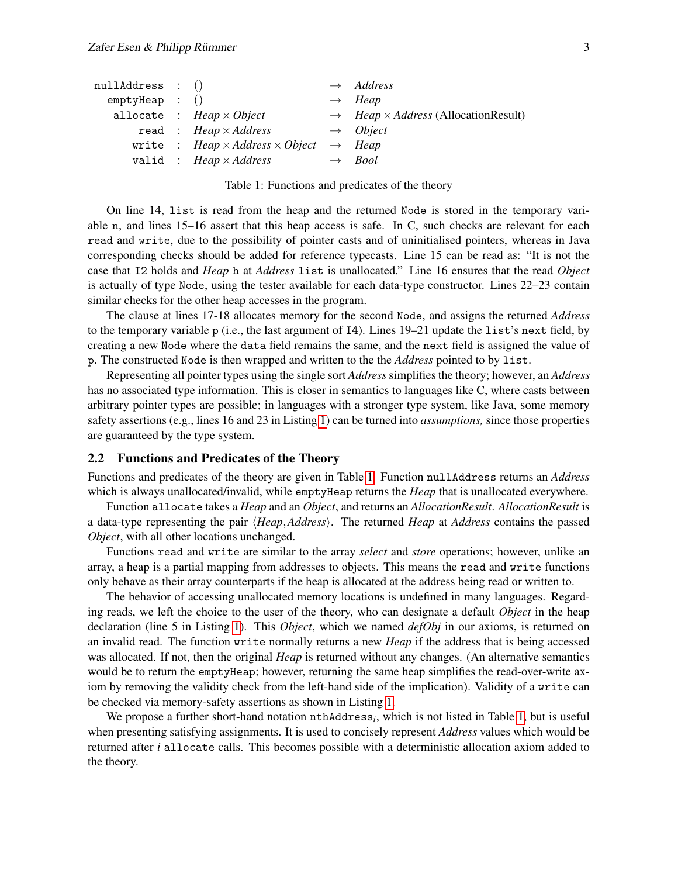| nullAddress : () |                                                                  | $\rightarrow$ Address                                          |
|------------------|------------------------------------------------------------------|----------------------------------------------------------------|
| emptyHeap : ()   |                                                                  | $\rightarrow$ Heap                                             |
|                  | allocate : $Heap \times Object$                                  | $\rightarrow$ <i>Heap</i> × <i>Address</i> (Allocation Result) |
|                  | read: $Heap \times Address$                                      | $\rightarrow$ Object                                           |
|                  | write : Heap $\times$ Address $\times$ Object $\rightarrow$ Heap |                                                                |
|                  | valid : $Heap \times Address$                                    | $\rightarrow$ Bool                                             |

<span id="page-2-1"></span>Table 1: Functions and predicates of the theory

On line 14, list is read from the heap and the returned Node is stored in the temporary variable n, and lines 15–16 assert that this heap access is safe. In C, such checks are relevant for each read and write, due to the possibility of pointer casts and of uninitialised pointers, whereas in Java corresponding checks should be added for reference typecasts. Line 15 can be read as: "It is not the case that I2 holds and *Heap* h at *Address* list is unallocated." Line 16 ensures that the read *Object* is actually of type Node, using the tester available for each data-type constructor. Lines 22–23 contain similar checks for the other heap accesses in the program.

The clause at lines 17-18 allocates memory for the second Node, and assigns the returned *Address* to the temporary variable p (i.e., the last argument of I4). Lines 19–21 update the list's next field, by creating a new Node where the data field remains the same, and the next field is assigned the value of p. The constructed Node is then wrapped and written to the the *Address* pointed to by list.

Representing all pointer types using the single sort *Address*simplifies the theory; however, an *Address* has no associated type information. This is closer in semantics to languages like C, where casts between arbitrary pointer types are possible; in languages with a stronger type system, like Java, some memory safety assertions (e.g., lines 16 and 23 in Listing [1\)](#page-1-0) can be turned into *assumptions,* since those properties are guaranteed by the type system.

#### <span id="page-2-0"></span>2.2 Functions and Predicates of the Theory

Functions and predicates of the theory are given in Table [1.](#page-2-1) Function nullAddress returns an *Address* which is always unallocated/invalid, while emptyHeap returns the *Heap* that is unallocated everywhere.

Function allocate takes a *Heap* and an *Object*, and returns an *AllocationResult*. *AllocationResult* is a data-type representing the pair  $\langle \text{Heap},\text{Address}\rangle$ . The returned *Heap* at *Address* contains the passed *Object*, with all other locations unchanged.

Functions read and write are similar to the array *select* and *store* operations; however, unlike an array, a heap is a partial mapping from addresses to objects. This means the read and write functions only behave as their array counterparts if the heap is allocated at the address being read or written to.

The behavior of accessing unallocated memory locations is undefined in many languages. Regarding reads, we left the choice to the user of the theory, who can designate a default *Object* in the heap declaration (line 5 in Listing [1\)](#page-1-0). This *Object*, which we named *defObj* in our axioms, is returned on an invalid read. The function write normally returns a new *Heap* if the address that is being accessed was allocated. If not, then the original *Heap* is returned without any changes. (An alternative semantics would be to return the emptyHeap; however, returning the same heap simplifies the read-over-write axiom by removing the validity check from the left-hand side of the implication). Validity of a write can be checked via memory-safety assertions as shown in Listing [1.](#page-1-0)

We propose a further short-hand notation nthAddress*<sup>i</sup>* , which is not listed in Table [1,](#page-2-1) but is useful when presenting satisfying assignments. It is used to concisely represent *Address* values which would be returned after *i* allocate calls. This becomes possible with a deterministic allocation axiom added to the theory.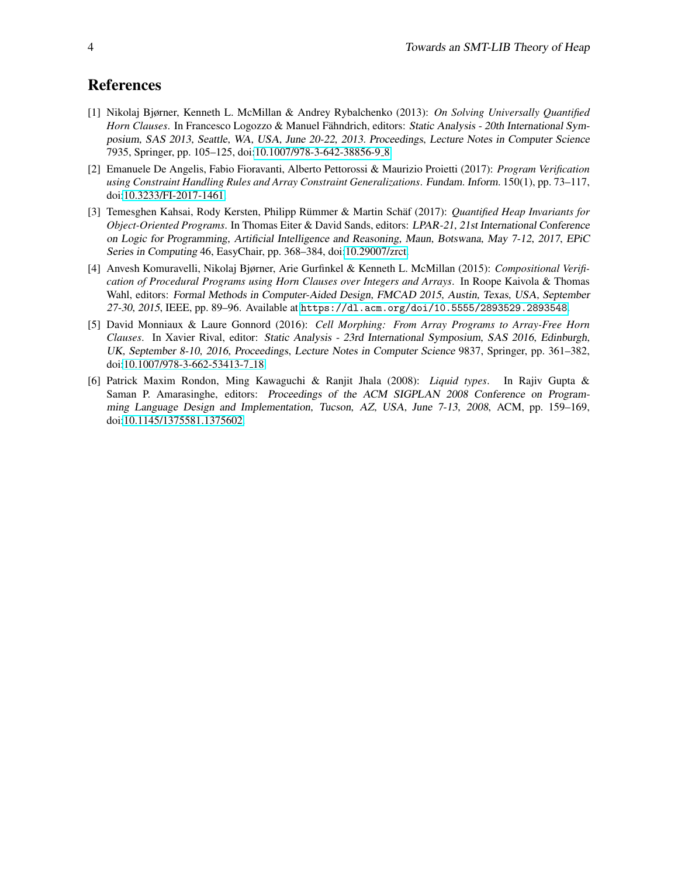## References

- <span id="page-3-3"></span>[1] Nikolaj Bjørner, Kenneth L. McMillan & Andrey Rybalchenko (2013): *On Solving Universally Quantified Horn Clauses*. In Francesco Logozzo & Manuel Fähndrich, editors: Static Analysis - 20th International Symposium, SAS 2013, Seattle, WA, USA, June 20-22, 2013. Proceedings, Lecture Notes in Computer Science 7935, Springer, pp. 105–125, doi[:10.1007/978-3-642-38856-9](http://dx.doi.org/10.1007/978-3-642-38856-9_8) 8.
- <span id="page-3-1"></span>[2] Emanuele De Angelis, Fabio Fioravanti, Alberto Pettorossi & Maurizio Proietti (2017): *Program Verification using Constraint Handling Rules and Array Constraint Generalizations*. Fundam. Inform. 150(1), pp. 73–117, doi[:10.3233/FI-2017-1461.](http://dx.doi.org/10.3233/FI-2017-1461)
- <span id="page-3-5"></span>[3] Temesghen Kahsai, Rody Kersten, Philipp Rümmer & Martin Schäf (2017): *Quantified Heap Invariants for Object-Oriented Programs*. In Thomas Eiter & David Sands, editors: LPAR-21, 21st International Conference on Logic for Programming, Artificial Intelligence and Reasoning, Maun, Botswana, May 7-12, 2017, EPiC Series in Computing 46, EasyChair, pp. 368–384, doi[:10.29007/zrct.](http://dx.doi.org/10.29007/zrct)
- <span id="page-3-0"></span>[4] Anvesh Komuravelli, Nikolaj Bjørner, Arie Gurfinkel & Kenneth L. McMillan (2015): *Compositional Verification of Procedural Programs using Horn Clauses over Integers and Arrays*. In Roope Kaivola & Thomas Wahl, editors: Formal Methods in Computer-Aided Design, FMCAD 2015, Austin, Texas, USA, September 27-30, 2015, IEEE, pp. 89–96. Available at <https://dl.acm.org/doi/10.5555/2893529.2893548>.
- <span id="page-3-4"></span>[5] David Monniaux & Laure Gonnord (2016): *Cell Morphing: From Array Programs to Array-Free Horn Clauses*. In Xavier Rival, editor: Static Analysis - 23rd International Symposium, SAS 2016, Edinburgh, UK, September 8-10, 2016, Proceedings, Lecture Notes in Computer Science 9837, Springer, pp. 361–382, doi[:10.1007/978-3-662-53413-7](http://dx.doi.org/10.1007/978-3-662-53413-7_18) 18.
- <span id="page-3-2"></span>[6] Patrick Maxim Rondon, Ming Kawaguchi & Ranjit Jhala (2008): *Liquid types*. In Rajiv Gupta & Saman P. Amarasinghe, editors: Proceedings of the ACM SIGPLAN 2008 Conference on Programming Language Design and Implementation, Tucson, AZ, USA, June 7-13, 2008, ACM, pp. 159–169, doi[:10.1145/1375581.1375602.](http://dx.doi.org/10.1145/1375581.1375602)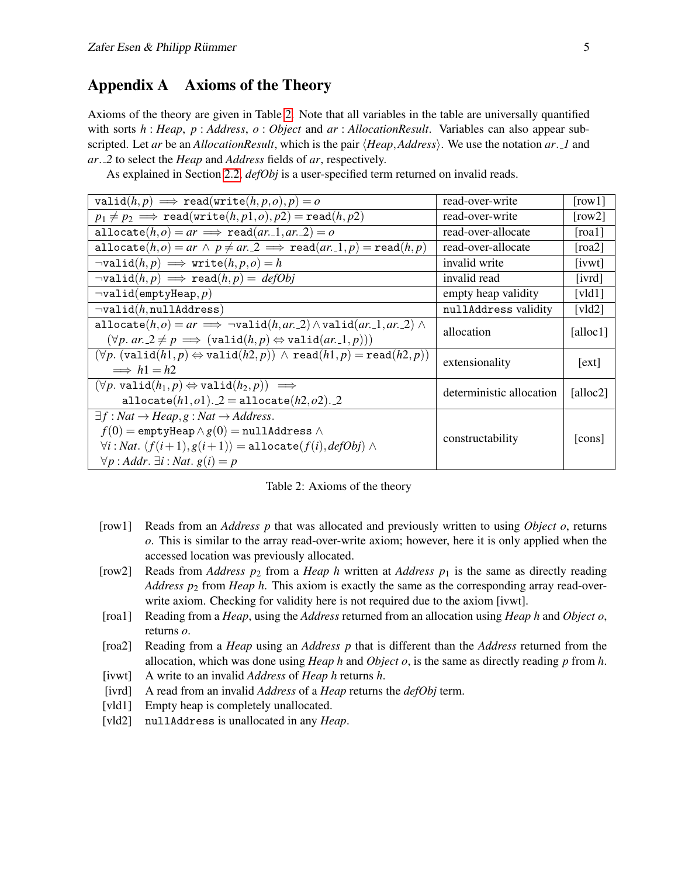## Appendix A Axioms of the Theory

Axioms of the theory are given in Table [2.](#page-4-0) Note that all variables in the table are universally quantified with sorts *h* : *Heap*, *p* : *Address*, *o* : *Object* and *ar* : *AllocationResult*. Variables can also appear subscripted. Let *ar* be an *AllocationResult*, which is the pair  $\langle Heap, Address \rangle$ . We use the notation *ar*. *1* and *ar*. *2* to select the *Heap* and *Address* fields of *ar*, respectively.

As explained in Section [2.2,](#page-2-0) *defObj* is a user-specified term returned on invalid reads.

| valid $(h, p) \implies$ read(write $(h, p, o), p$ ) = o                                         | read-over-write          | $\lceil \text{row} \cdot 1 \rceil$ |
|-------------------------------------------------------------------------------------------------|--------------------------|------------------------------------|
| $p_1 \neq p_2 \implies \text{read}(\text{write}(h, p1, o), p2) = \text{read}(h, p2)$            | read-over-write          | $\lceil \text{row2} \rceil$        |
| allocate $(h, o) = ar \implies \text{read}(ar. 1, ar. 2) = o$                                   | read-over-allocate       | [road]                             |
| $allocate(h, o) = ar \wedge p \neq ar. 2 \implies \text{read}(ar. 1, p) = \text{read}(h, p)$    | read-over-allocate       | $\lceil \text{roa2} \rceil$        |
| $\neg \text{valid}(h, p) \implies \text{write}(h, p, o) = h$                                    | invalid write            | [ivwt]                             |
| $\neg \text{valid}(h, p) \implies \text{read}(h, p) = \text{defObj}$                            | invalid read             | [ivrd]                             |
| $\neg valid(emptyHeap,p)$                                                                       | empty heap validity      | [ $vld1$ ]                         |
| $\neg valid(h, nullAddress)$                                                                    | nullAddress validity     | $\lceil v \cdot 1d \cdot 2 \rceil$ |
| allocate $(h, o) = ar \implies \neg valid(h, ar, 2) \wedge valid(ar, 1, ar, 2) \wedge$          | allocation               | [alloc $1$ ]                       |
| $(\forall p. ar. 2 \neq p \implies (\text{valid}(h, p) \Leftrightarrow \text{valid}(ar.1, p)))$ |                          |                                    |
| $(\forall p. (valid(h1, p) \Leftrightarrow valid(h2, p)) \wedge read(h1, p) = read(h2, p))$     | extensionality           | [ext]                              |
| $\implies h1 = h2$                                                                              |                          |                                    |
| $(\forall p. \text{valid}(h_1, p) \Leftrightarrow \text{valid}(h_2, p)) \implies$               | deterministic allocation | [alloc2]                           |
| allocate $(h1, o1)$ . 2 = allocate $(h2, o2)$ . 2                                               |                          |                                    |
| $\exists f : Nat \rightarrow Heap, g : Nat \rightarrow Address.$                                | constructability         | [cons]                             |
| $f(0) =$ emptyHeap $\wedge g(0) =$ nullAddress $\wedge$                                         |                          |                                    |
| $\forall i : Nat. \langle f(i+1), g(i+1) \rangle = \text{allocate}(f(i), defObj) \land$         |                          |                                    |
| $\forall p : Addr. \exists i : Nat. g(i) = p$                                                   |                          |                                    |

<span id="page-4-0"></span>Table 2: Axioms of the theory

- [row1] Reads from an *Address p* that was allocated and previously written to using *Object o*, returns *o*. This is similar to the array read-over-write axiom; however, here it is only applied when the accessed location was previously allocated.
- [row2] Reads from *Address p*<sub>2</sub> from a *Heap h* written at *Address p*<sub>1</sub> is the same as directly reading *Address p*<sup>2</sup> from *Heap h*. This axiom is exactly the same as the corresponding array read-overwrite axiom. Checking for validity here is not required due to the axiom [ivwt].
- [roa1] Reading from a *Heap*, using the *Address* returned from an allocation using *Heap h* and *Object o*, returns *o*.
- [roa2] Reading from a *Heap* using an *Address p* that is different than the *Address* returned from the allocation, which was done using *Heap h* and *Object o*, is the same as directly reading *p* from *h*.
- [ivwt] A write to an invalid *Address* of *Heap h* returns *h*.
- [ivrd] A read from an invalid *Address* of a *Heap* returns the *defObj* term.
- [vld1] Empty heap is completely unallocated.
- [vld2] nullAddress is unallocated in any *Heap*.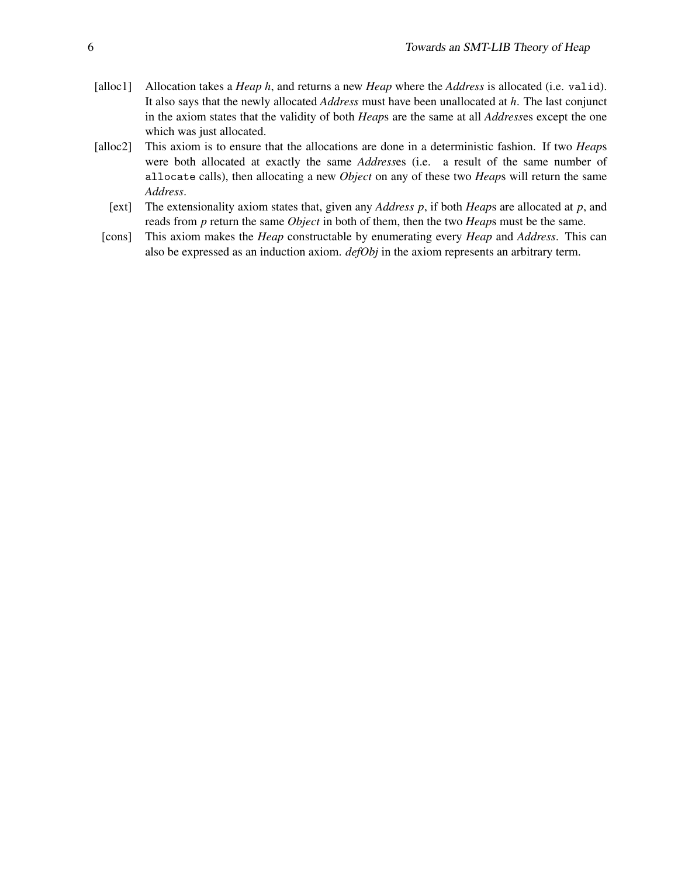- [alloc1] Allocation takes a *Heap h*, and returns a new *Heap* where the *Address* is allocated (i.e. valid). It also says that the newly allocated *Address* must have been unallocated at *h*. The last conjunct in the axiom states that the validity of both *Heap*s are the same at all *Address*es except the one which was just allocated.
- [alloc2] This axiom is to ensure that the allocations are done in a deterministic fashion. If two *Heap*s were both allocated at exactly the same *Address*es (i.e. a result of the same number of allocate calls), then allocating a new *Object* on any of these two *Heap*s will return the same *Address*.
	- [ext] The extensionality axiom states that, given any *Address p*, if both *Heap*s are allocated at *p*, and reads from *p* return the same *Object* in both of them, then the two *Heap*s must be the same.
	- [cons] This axiom makes the *Heap* constructable by enumerating every *Heap* and *Address*. This can also be expressed as an induction axiom. *defObj* in the axiom represents an arbitrary term.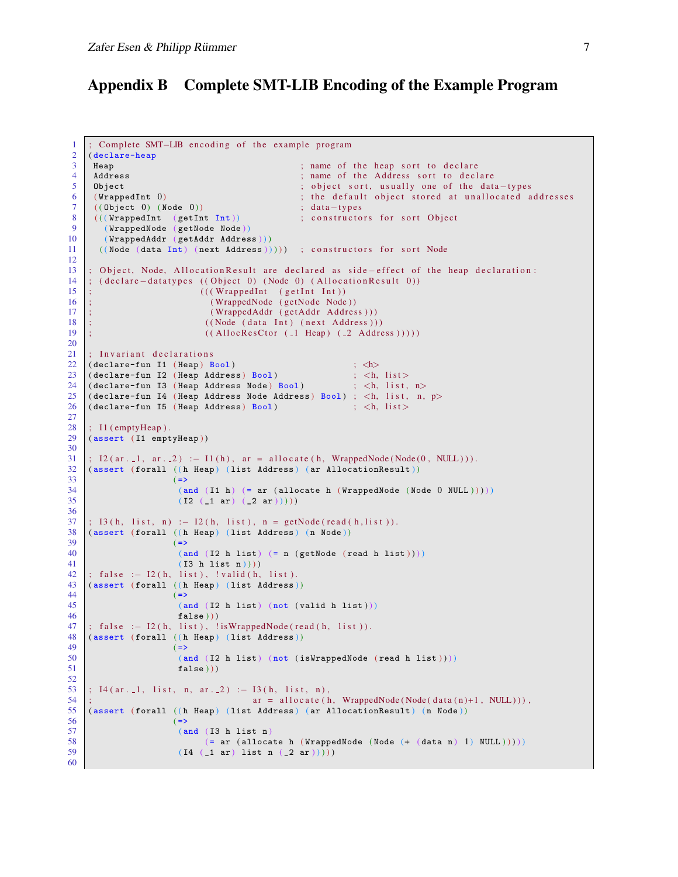### Appendix B Complete SMT-LIB Encoding of the Example Program

```
1 ; Complete SMT–LIB encoding of the example program
 2 ( declare-heap
 3 Heap ; name of the heap sort to declare<br>4 Address : name of the Address sort to decl
                                                    ; name of the Address sort to declare
 5 Object ; object sort, usually one of the data-types
 6 (WrappedInt 0) ; the default object stored at unallocated addresses ; data-types ; data-types
 7 ( ( Object 0) ( Node 0)) ; data-types<br>8 ( ( ( Wrapped Int ( get Int Int)) ; constructo
 8 (((WrappedInt (getInt Int)) ; constructors for sort Object (WrappedNode (getNode Node))
        9 ( WrappedNode ( getNode Node ) )
10 ( WrappedAddr ( getAddr Address ) ) )
11 ((Node (data Int) (next Address))))) ; constructors for sort Node
12
13 ; Object, Node, AllocationResult are declared as side-effect of the heap declaration:
14 ; ( declare - datatypes ( ( Object 0) ( Node 0) ( Allocation Result 0 ) )
15 ; (((\text{WrappedInt } (getInt \text{Int}))16 ; (WrappedNode (getNode Node))
17 ;<br>
18 : (WrappedAddr (getAddr Address))<br>
((Node (data Int) (next Address))
    18 ; ( ( Node ( d a t a Int ) ( next Address ) ) )
19 ; ((\text{Alloc} \text{Res} \text{Ctor } (\text{--} 1 \text{Heap } (\text{--} 2 \text{ Address}))))20
21 ; Invariant declarations
22 ( declare-fun I1 ( Heap ) Bool ) ; \langle h \rangle<br>
23 ( declare-fun I2 ( Heap Address ) Bool ) ; \langle h, h \rangle( declare-fun I2 ( Heap Address ) Bool )
24 ( declare-fun I3 ( Heap Address Node ) Bool ) ; <h, list, n><br>25 ( declare-fun I4 ( Heap Address Node Address ) Bool ) : <h list n
25 ( declare-fun I4 ( Heap Address Node Address ) Bool ) ; <h, list, n, p><br>26 ( declare-fun I5 ( Heap Address ) Bool ) ; <h, list >
    (declare-fun I5 (Heap Address) <math>Bool</math>)\frac{27}{28}; I1 (emptyHeap).
29 (assert (I1 emptyHeap))
30
31 \mid; 12 \cdot (ar \cdot 1, ar \cdot 2) :− 11(h), ar = allocate (h, WrappedNode (Node (0, NULL))).
\begin{array}{c|c} 32 \end{array} (assert (forall ((h Heap) (list Address) (ar AllocationResult)) (33)( =)34 ( and (I1 h) (= ar (allocate h (WrappedNode (Node 0 NULL)))))
35 ( I2 ( 1 ar ) (2 ar ) ) ) )
36
37 ; I 3 ( h, list, n ) : - I 2 ( h, list), n = getNode (read ( h, list)).
38 (assert (forall ((h Heap) (list Address) (n Node))
39 (=>
40 \vert (and (I2 h list) (= n (getNode (read h list))))41 ( I3 h list n ) ) ) )
42 ; false : - I2(h, list), !valid(h, list).
43 (assert (forall ((h Heap) (list Address))
44 (\Rightarrow45 ( and (I2 h list ) ( not ( valid h list ) ))\begin{array}{c|cc} 46 & \text{false} \end{array} (1) \begin{array}{c} \text{false} & \text{false} \end{array} (h, list), 1
     ; false :- I2(h, list), !isWrappedNode(read(h, list)).
48 (assert (forall ((h Heap) (list Address))
49 ( \Rightarrow )
50 (and (I2 h list) (not (isWrappedNode (read h list))))
51 false ))
52
53 ; I4 (ar. 1, list, n, ar. 2) :− I3 (h, list, n),<br>54 ;
                                        ar = a l locate(h, WrappedNode(Node(data(n)+1, NULL))),
55 (assert (forall ((h Heap) (list Address) (ar AllocationResult) (n Node))
\begin{array}{c|c}\n56 & & \n\hline\n57 & & \n\hline\n\end{array}\begin{array}{c|c} 57 \\ 58 \end{array} (and \begin{array}{c} \text{(and (I3 h list n)} \\ \text{(= ar (alloca))}) \end{array}58 (= ar (allocate h (WrappedNode (Node (+ (data n) 1) NULL )))))<br>59 (14 ( 1 ar) list n ( 2 ar) ))))
                        (I4 (-1 ar) list n (-2 ar) ))60
```